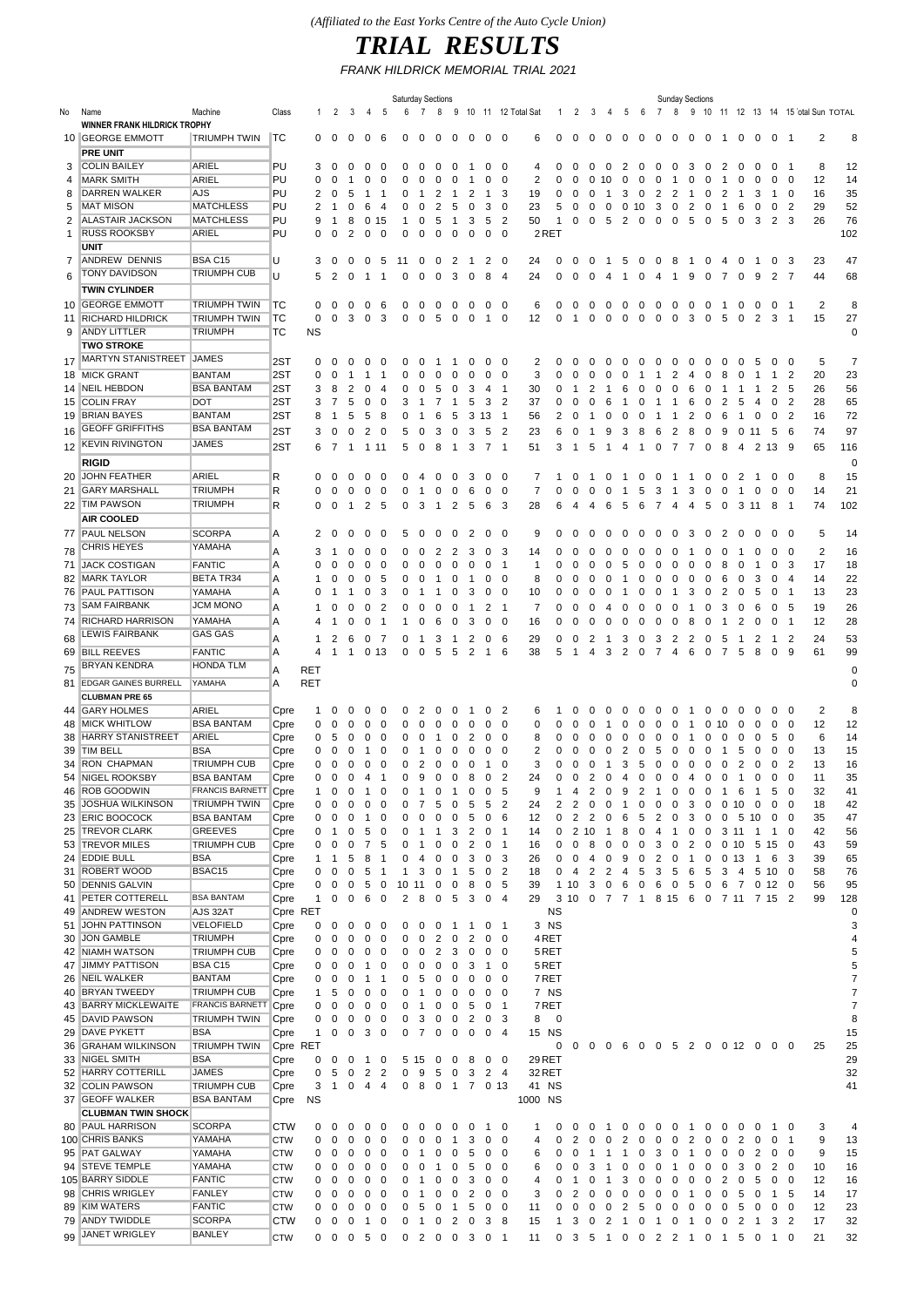## *TRIAL RESULTS*

*FRANK HILDRICK MEMORIAL TRIAL 2021*

|              |                              |                        |            |           |                |                     |                |                | <b>Saturday Sections</b> |                  |                |                |                |                |                          |                    |             |                |          |                               |                                |                | <b>Sunday Sections</b> |                   |              |                   |      |                 |                |                |                                    |             |
|--------------|------------------------------|------------------------|------------|-----------|----------------|---------------------|----------------|----------------|--------------------------|------------------|----------------|----------------|----------------|----------------|--------------------------|--------------------|-------------|----------------|----------|-------------------------------|--------------------------------|----------------|------------------------|-------------------|--------------|-------------------|------|-----------------|----------------|----------------|------------------------------------|-------------|
| No           | Name                         | Machine                | Class      | -1        | 2              | 3                   | 4              | 5              | 6                        | 7                | 8              | 9              |                |                |                          | 10 11 12 Total Sat | -1          | 2              | 3        | 4                             | 5<br>- 6                       | -7             | 8                      |                   |              |                   |      |                 |                |                | 9 10 11 12 13 14 15 otal Sun TOTAL |             |
|              | WINNER FRANK HILDRICK TROPHY |                        |            |           |                |                     |                |                |                          |                  |                |                |                |                |                          |                    |             |                |          |                               |                                |                |                        |                   |              |                   |      |                 |                |                |                                    |             |
|              | 10 GEORGE EMMOTT             | <b>TRIUMPH TWIN</b>    | TC         | 0         | $\mathbf 0$    | 0                   | 0              | 6              | $\Omega$                 | 0                | 0              | 0              | 0              | 0              | - 0                      | 6                  | $\Omega$    | 0              | 0        | 0                             | 0<br>0                         | 0              | 0                      | 0                 | 0            | -1                | 0    | 0               | 0 <sub>1</sub> |                | 2                                  | 8           |
|              | <b>PRE UNIT</b>              |                        |            |           |                |                     |                |                |                          |                  |                |                |                |                |                          |                    |             |                |          |                               |                                |                |                        |                   |              |                   |      |                 |                |                |                                    |             |
| 3            | <b>COLIN BAILEY</b>          | ARIEL                  | PU         | 3         | $\Omega$       | 0                   | 0              | 0              | 0                        | $\Omega$         | 0              | 0              |                | 0              | -0                       | 4                  | $\Omega$    | 0              | $\Omega$ | $\Omega$                      | 2<br>$\Omega$                  | 0              | 0                      | 3                 | 0            | 2                 | 0    | $\Omega$        | 0              | -1             | 8                                  | 12          |
| 4            | <b>MARK SMITH</b>            | ARIEL                  | PU         | 0         | 0              |                     | 0              | 0              | $\Omega$                 | $\Omega$         | ∩              | 0              |                | 0              | 0                        | 2                  | $\Omega$    | $\Omega$       | $\Omega$ | 10                            | $\Omega$<br>$\Omega$           | 0              | $\mathbf{1}$           | 0                 | 0            | -1                | 0    | 0               | 0              | 0              | 12                                 | 14          |
| 8            | DARREN WALKER                | AJS                    | PU         | 2         | 0              | 5                   | 1              | -1             | 0                        | 1                | 2              | 1              | 2              | $\mathbf 1$    | 3                        | 19                 | 0           |                | O        |                               | 3<br>0                         | 2              | 2                      | -1                | 0            | 2                 | -1   | 3               | -1             | 0              | 16                                 | 35          |
| 5            | <b>MAT MISON</b>             | <b>MATCHLESS</b>       | PU         | 2         |                | 0                   | 6              | 4              | 0                        | 0                | 2              | 5              | 0              | 3              | $\mathbf 0$              | 23                 | 5           | 0              | 0        | 0                             | 0<br>10                        | 3              | 0                      | 2                 | 0            | -1                | 6    | 0               | 0              | 2              | 29                                 | 52          |
| 2            | <b>ALASTAIR JACKSON</b>      | <b>MATCHLESS</b>       | PU         | 9         | -1             | 8                   | 0              | 15             | 1                        | $\Omega$         | 5              | 1              | 3              | 5              | $\overline{2}$           | 50                 | 1           | 0              | 0        | 5                             | 2<br>0                         | 0              | 0                      | 5                 | 0            | 5                 | 0    | 3               | 2              | 3              | 26                                 | 76          |
| $\mathbf{1}$ | <b>RUSS ROOKSBY</b>          | ARIEL                  | PU         | 0         | ∩              | 2                   | 0              | 0              | 0                        | 0                | ∩              | 0              | 0              | 0              | 0                        | 2RET               |             |                |          |                               |                                |                |                        |                   |              |                   |      |                 |                |                |                                    | 102         |
|              | <b>UNIT</b>                  |                        |            |           |                |                     |                |                |                          |                  |                |                |                |                |                          |                    |             |                |          |                               |                                |                |                        |                   |              |                   |      |                 |                |                |                                    |             |
| 7            | ANDREW DENNIS                | BSA C15                | U          | 3         | 0              | 0                   | 0              | 5              | 11                       | 0                | 0              | 2              | -1             | 2              | 0                        | 24                 | 0           | 0              | 0        | $\mathbf 1$                   | 5<br>0                         | 0              | 8                      | $\overline{1}$    | 0            | 4                 | 0    | -1              | 0              | 3              | 23                                 | 47          |
| 6            | <b>TONY DAVIDSON</b>         | <b>TRIUMPH CUB</b>     | U          | 5         | $\overline{2}$ | 0                   | $\mathbf{1}$   | -1             | 0                        | 0                | 0              | 3              | 0              | 8              | $\overline{4}$           | 24                 | 0           | 0              | 0        | 4                             | -1<br>0                        | 4              | $\overline{1}$         | 9                 | 0            | -7                | 0    | 9               | 2              | $\overline{7}$ | 44                                 | 68          |
|              | <b>TWIN CYLINDER</b>         |                        |            |           |                |                     |                |                |                          |                  |                |                |                |                |                          |                    |             |                |          |                               |                                |                |                        |                   |              |                   |      |                 |                |                |                                    |             |
|              | 10 GEORGE EMMOTT             | <b>TRIUMPH TWIN</b>    | ТC         | 0         | 0              | 0                   | 0              | 6              | 0                        | 0                | 0              | 0              | 0              | $\mathbf 0$    | -0                       | 6                  | 0           | 0              | 0        | 0                             | 0<br>0                         | 0              | 0                      | 0                 | 0            | -1                | 0    | 0               | 0              | -1             | $\overline{2}$                     | 8           |
| 11           | <b>RICHARD HILDRICK</b>      | TRIUMPH TWIN           | тс         | 0         | 0              | 3                   | 0              | 3              | 0                        | 0                | 5              | 0              | 0              | $\mathbf{1}$   | $\mathbf 0$              | 12                 | 0           | -1             | 0        | 0                             | 0<br>0                         | 0              | 0                      | 3                 | 0            | 5                 | 0    | 2               | 3              | -1             | 15                                 | 27          |
| 9            | <b>ANDY LITTLER</b>          | <b>TRIUMPH</b>         | тс         | <b>NS</b> |                |                     |                |                |                          |                  |                |                |                |                |                          |                    |             |                |          |                               |                                |                |                        |                   |              |                   |      |                 |                |                |                                    | 0           |
|              | <b>TWO STROKE</b>            |                        |            |           |                |                     |                |                |                          |                  |                |                |                |                |                          |                    |             |                |          |                               |                                |                |                        |                   |              |                   |      |                 |                |                |                                    |             |
| 17           | <b>MARTYN STANISTREET</b>    | <b>JAMES</b>           | 2ST        | 0         | $\Omega$       | $\Omega$            | 0              | 0              | 0                        | ∩                | ำ              | -1             | 0              | 0              | - 0                      | 2                  | O           | 0              | $\Omega$ | $\mathbf{U}$                  | $\Omega$<br>$\theta$           | $\Omega$       | 0                      | 0                 | 0            | 0                 | 0    | 5               | 0              | 0              | 5                                  | 7           |
|              | 18 MICK GRANT                | <b>BANTAM</b>          | 2ST        | 0         | 0              | -1                  | -1             | -1             | 0                        | 0                | 0              | 0              | 0              | 0              | 0                        | 3                  |             | n              | O        |                               | 0                              | 1              | 2                      | 4                 | 0            | 8                 | 0    | -1              | 1              | 2              | 20                                 | 23          |
|              | 14 NEIL HEBDON               | <b>BSA BANTAM</b>      | 2ST        | 3         | 8              | 2                   | 0              | 4              | 0                        | 0                | 5              | 0              | 3              | 4              | -1                       | 30                 |             |                |          |                               | 6                              | 0              | 0                      | 6                 | 0            |                   | -1   | 1               | 2              | 5              | 26                                 | 56          |
|              | 15 COLIN FRAY                | DOT                    | 2ST        | 3         | 7              | 5                   | 0              | 0              | 3                        | -1               | 7              | $\mathbf 1$    | 5              | 3              | $\overline{2}$           | 37                 | 0           | 0              | $\Omega$ | 6                             | -1<br>$\Omega$                 | -1             | 1                      | 6                 | 0            | 2                 | 5    | 4               | 0              | 2              | 28                                 | 65          |
|              | 19 BRIAN BAYES               | <b>BANTAM</b>          | 2ST        | 8         | -1             | 5                   | 5              | 8              | 0                        | -1               | 6              | 5              | 3              | 13             | $\overline{1}$           | 56                 | 2           | 0              | ำ        | O                             | $\Omega$<br>O                  | -1             | -1                     | 2                 | 0            | 6                 | -1   | 0               | 0              | 2              | 16                                 | 72          |
| 16           | <b>GEOFF GRIFFITHS</b>       | <b>BSA BANTAM</b>      | 2ST        | 3         | $\overline{0}$ | 0                   | 2              | 0              | 5                        | 0                | 3              | $\mathbf 0$    | 3              | 5              | $\overline{2}$           | 23                 | 6           | 0              | -1       | 9                             | 3<br>8                         | 6              | $\overline{2}$         | 8                 | 0            | 9                 | 0 11 |                 | -5             | - 6            | 74                                 | 97          |
|              | <b>KEVIN RIVINGTON</b>       | JAMES                  |            |           |                |                     |                |                |                          |                  |                |                |                |                |                          |                    |             |                |          |                               |                                |                |                        |                   |              |                   |      |                 |                |                |                                    |             |
| 12           |                              |                        | 2ST        | 6         | -7             | -1                  | 1 1 1          |                | 5                        | 0                | 8              | $\mathbf{1}$   | 3              | $\overline{7}$ | -1                       | 51                 | 3           | -1             | 5        | -1                            | 4<br>-1                        | 0              | 7                      | -7                | 0            | 8                 | 4    | 2               | 13             | -9             | 65                                 | 116         |
|              | <b>RIGID</b>                 |                        |            |           |                |                     |                |                |                          |                  |                |                |                |                |                          |                    |             |                |          |                               |                                |                |                        |                   |              |                   |      |                 |                |                |                                    | $\mathbf 0$ |
|              | 20 JOHN FEATHER              | ARIEL                  | R          | 0         | 0              | 0                   | 0              | 0              | 0                        | 4                | 0              | 0              | 3              | 0              | 0                        | 7                  | 1           | 0              | -1       | 0                             | $\mathbf{1}$<br>0              | 0              | $\mathbf{1}$           | $\mathbf{1}$      | 0            | 0                 | 2    | -1              | 0              | 0              | 8                                  | 15          |
| 21           | <b>GARY MARSHALL</b>         | <b>TRIUMPH</b>         | R          | 0         | 0              | 0                   | 0              | 0              | 0                        | $\mathbf{1}$     | 0              | 0              | 6              | 0              | 0                        | 7                  | 0           | 0              | 0        | O                             | 5<br>-1                        | 3              | -1                     | 3                 | 0            | 0                 | -1   | 0               | 0              | 0              | 14                                 | 21          |
|              | 22 TIM PAWSON                | <b>TRIUMPH</b>         | R          | 0         | 0              | -1                  | 2              | - 5            | 0                        | 3                | $\overline{1}$ | 2              | 5              | 6              | -3                       | 28                 | 6           | 4              | 4        | 6                             | 5<br>6                         | 7              | $\overline{4}$         | $\overline{4}$    | 5            | $\mathbf{0}$      | 3 11 |                 | 8              | -1             | 74                                 | 102         |
|              | <b>AIR COOLED</b>            |                        |            |           |                |                     |                |                |                          |                  |                |                |                |                |                          |                    |             |                |          |                               |                                |                |                        |                   |              |                   |      |                 |                |                |                                    |             |
| 77           | <b>PAUL NELSON</b>           | <b>SCORPA</b>          | Α          | 2         | 0              | 0                   | 0              | 0              | 5                        | 0                | 0              | 0              | 2              | 0              | 0                        | 9                  |             |                |          |                               | 0                              | 0              | 0                      | 3                 | 0            | 2                 | 0    | 0               | 0              | -0             | 5                                  | 14          |
| 78           | <b>CHRIS HEYES</b>           | YAMAHA                 | Α          | 3         |                | 0                   | 0              | 0              | 0                        | 0                | 2              | 2              | 3              | 0              | 3                        | 14                 | O           | n              |          |                               |                                | 0              | 0                      | -1                | 0            | 0                 |      | 0               | 0              | 0              | $\overline{2}$                     | 16          |
| 71           | <b>JACK COSTIGAN</b>         | FANTIC                 | Α          | 0         | 0              | 0                   | 0              | 0              | 0                        | $\Omega$         | ∩              | 0              | 0              | 0              | $\mathbf{1}$             | 1                  | O           | n              | C        |                               | 5                              | 0              | 0                      | 0                 | 0            | 8                 | 0    | 1               | 0              | 3              | 17                                 | 18          |
|              | 82 MARK TAYLOR               | <b>BETA TR34</b>       | Α          | 1         | 0              | 0                   | 0              | 5              | 0                        | 0                | 1              | 0              | -1             | 0              | 0                        | 8                  | 0           | 0              | O        | O                             | $\Omega$                       | 0              | 0                      | 0                 | 0            | 6                 | 0    | 3               | 0              | 4              | 14                                 | 22          |
|              | 76 PAUL PATTISON             | YAMAHA                 | Α          | 0         | -1             |                     | 0              | 3              | 0                        | -1               | 1              | 0              | 3              | 0              | 0                        | 10                 | 0           | 0              | 0        |                               | $\Omega$                       | 0              | -1                     | 3                 | 0            | 2                 | 0    | 5               | 0              | $\mathbf{1}$   | 13                                 | 23          |
| 73           | <b>SAM FAIRBANK</b>          | <b>JCM MONO</b>        |            |           |                |                     |                |                |                          |                  |                |                |                |                |                          |                    |             |                |          |                               |                                |                |                        |                   |              |                   |      |                 |                |                |                                    | 26          |
|              | 74 RICHARD HARRISON          | YAMAHA                 | Α<br>Α     |           | 0              | 0<br>0              | 0              | 2              | 0                        | 0                | 0              | 0              | 1              | 2<br>0         | -1<br>0                  | 7                  | 0<br>0      | 0<br>0         | 0        | 4                             | 0<br>0                         | 0              | 0                      | $\mathbf{1}$<br>8 | 0            | 3<br>$\mathbf{1}$ | 0    | 6<br>0          | 0              | 5              | 19<br>12                           |             |
|              | LEWIS FAIRBANK               | <b>GAS GAS</b>         |            | 4         | 1              |                     | 0              | 1              | -1                       | 0                | 6              | 0              | 3              |                |                          | 16                 |             |                | 0        | O                             | 0<br>0                         | 0              | 0                      |                   | 0            |                   | 2    |                 | 0              | -1             |                                    | 28          |
| 68           |                              |                        | A          | 1         | 2              | 6                   | 0              | 7              | 0                        | $\mathbf{1}$     | 3              | $\overline{1}$ | 2              | 0              | -6                       | 29                 | 0           | 0              | 2        | -1                            | 3<br>0                         | 3              | 2                      | 2                 | 0            | 5                 | -1   | 2               | $\overline{1}$ | 2              | 24                                 | 53          |
|              | 69 BILL REEVES               | <b>FANTIC</b>          | Α          | 4         | 1              | -1                  |                | 013            | 0                        | 0                | 5              | 5              | 2              | $\mathbf{1}$   | 6                        | 38                 | 5           |                | 4        | 3                             | 2<br>0                         | $\overline{7}$ | 4                      | 6                 | 0            | $\overline{7}$    | 5    | 8               | 0              | 9              | 61                                 | 99          |
| 75           | <b>BRYAN KENDRA</b>          | <b>HONDA TLM</b>       | Α          | RET       |                |                     |                |                |                          |                  |                |                |                |                |                          |                    |             |                |          |                               |                                |                |                        |                   |              |                   |      |                 |                |                |                                    | $\mathbf 0$ |
| 81           | <b>EDGAR GAINES BURRELL</b>  | YAMAHA                 | Α          | RET       |                |                     |                |                |                          |                  |                |                |                |                |                          |                    |             |                |          |                               |                                |                |                        |                   |              |                   |      |                 |                |                |                                    | 0           |
|              | <b>CLUBMAN PRE 65</b>        |                        |            |           |                |                     |                |                |                          |                  |                |                |                |                |                          |                    |             |                |          |                               |                                |                |                        |                   |              |                   |      |                 |                |                |                                    |             |
|              | 44 GARY HOLMES               | ARIEL                  | Cpre       | 1         |                | $\Omega$            | 0              | 0              | 0                        | 2                | $\Omega$       | 0              |                | 0              | $\overline{2}$           | 6                  |             | 0              |          |                               | 0<br>$\Omega$                  | 0              | 0                      | -1                | 0            | 0                 | 0    | 0               | 0              | 0              | $\overline{2}$                     | 8           |
|              | 48 MICK WHITLOW              | <b>BSA BANTAM</b>      | Cpre       | 0         | 0              |                     | 0              | 0              | 0                        | 0                |                | 0              | 0              | 0              | $\mathbf 0$              | 0                  |             |                |          |                               |                                | 0              | 0                      | 1                 | 0            | 10                | 0    |                 | 0              | 0              | 12                                 | 12          |
|              | 38 HARRY STANISTREET         | ARIEL                  | Cpre       | 0         | 5              | 0                   | 0              | 0              | Ω                        | $\Omega$         |                | 0              | 2              | 0              | $\mathbf 0$              | 8                  | 0           | 0              |          |                               | $\Omega$<br>$\Omega$           | 0              | 0                      | -1                | 0            | 0                 | 0    | $\Omega$        | 5              | 0              | 6                                  | 14          |
|              | 39 TIM BELL                  | <b>BSA</b>             | Cpre       | 0         | 0              | C                   | 1              | 0              | O                        |                  |                | $\Omega$       | 0              | 0              | $\mathbf 0$              | 2                  | O           |                |          |                               | 2                              | 5              | Ω                      | 0                 | 0            |                   | 5    | O               | 0              | 0              | 13                                 | 15          |
|              | 34 RON CHAPMAN               | <b>TRIUMPH CUB</b>     | Cpre       | 0         | 0              | 0                   | 0              | 0              | 0                        | 2                | 0              | 0              | 0              | $\mathbf{1}$   | 0                        | 3                  | 0           | 0              |          |                               | 3<br>5                         | 0              | 0                      | 0                 | 0            | 0                 | 2    | 0               | 0              | 2              | 13                                 | 16          |
|              | 54 NIGEL ROOKSBY             | <b>BSA BANTAM</b>      | Cpre       | 0         | 0              | 0                   | 4              | $\overline{1}$ | 0                        | 9                | 0              | 0              | 8              | 0              | $\overline{2}$           | 24                 | 0           | 0              | 2        | 0                             | 0<br>4                         | 0              | 0                      | $\overline{4}$    | 0            | 0                 | 1    | 0               | 0              | 0              | 11                                 | 35          |
|              | 46 ROB GOODWIN               | <b>FRANCIS BARNETT</b> | Cpre       |           |                |                     |                |                |                          |                  |                |                |                | 0              | ь                        |                    |             |                |          |                               |                                |                |                        | 0                 |              |                   |      |                 |                |                | 32                                 | 41          |
|              | 35 JOSHUA WILKINSON          | TRIUMPH TWIN           | Cpre       | 0         | 0              | 0                   | 0              | 0              | 0                        | 7                | 5              | 0              | 5              | 5              | $\overline{2}$           | 24                 | 2           | 2              | 0        | 0                             | $\mathbf{1}$<br>0              | 0              | 0                      | 3                 | 0            | 0 10              |      | 0               | 0              | 0              | 18                                 | 42          |
|              | 23 ERIC BOOCOCK              | <b>BSA BANTAM</b>      | Cpre       | 0         | 0              |                     | -1             | 0              | 0                        | 0                | 0              | 0              | 5              | $\mathbf 0$    | 6                        | 12                 | 0           | $\overline{2}$ |          |                               | 6<br>5                         | 2              | 0                      | 3                 | 0            | 0                 | 5    | 10              | 0              | 0              | 35                                 | 47          |
|              | 25 TREVOR CLARK              | <b>GREEVES</b>         | Cpre       | 0         | 1              | 0                   | 5              | 0              | 0                        | $\mathbf 1$      | 1              | 3              | $\overline{2}$ | 0              | -1                       | 14                 | 0           | 2              | -10      | 1                             | 8<br>0                         | 4              | $\mathbf{1}$           | 0                 | 0            | 3 1 1             |      | 1               | 1              | 0              | 42                                 | 56          |
|              | 53 TREVOR MILES              | <b>TRIUMPH CUB</b>     | Cpre       | 0         | 0              | 0                   | 7              | 5              | 0                        | $\mathbf 1$      | 0              | 0              | 2              | 0              | $\overline{1}$           | 16                 | 0           | 0              | 8        | O                             | 0<br>0                         | 3              | 0                      | 2                 | 0            | 0                 | 10   | 5 15            |                | 0              | 43                                 | 59          |
|              | 24 EDDIE BULL                | <b>BSA</b>             | Cpre       | 1         | 1              | 5                   | 8              | 1              | 0                        | 4                | 0              | 0              | 3              | 0              | -3                       | 26                 | 0           | 0              | 4        | 0                             | 9<br>0                         | 2              | 0                      | $\mathbf{1}$      | 0            | 0 <sub>13</sub>   |      | $\mathbf{1}$    | 6              | 3              | 39                                 | 65          |
|              | 31 ROBERT WOOD               | BSAC15                 | Cpre       | 0         | 0              | 0                   | 5              | 1              | 1                        | 3                | 0              | $\mathbf{1}$   | 5              | 0              | $\overline{2}$           | 18                 | 0           | 4              | 2        | 2                             | 4<br>5                         | 3              | 5                      | 6                 | 5            | 3                 | 4    | 5 10            |                | 0              | 58                                 | 76          |
|              | 50 DENNIS GALVIN             |                        | Cpre       | 0         | 0              | 0                   | 5              | 0              | 10                       | 11               | 0              | 0              | 8              | 0              | -5                       | 39                 | 1           | 10             | 3        | 0                             | 6<br>0                         | 6              | 0                      | 5                 | 0            | 6                 | 7    | 0 <sub>12</sub> |                | $\mathbf{0}$   | 56                                 | 95          |
| 41           | <b>PETER COTTERELL</b>       | <b>BSA BANTAM</b>      | Cpre       | 1         | 0              | 0                   | 6              | 0              | 2                        | 8                | 0              | 5              | 3              | $\mathbf 0$    | $\overline{4}$           | 29                 | 3           | 10             |          | $0 \t7 \t7 \t1$               |                                |                | 8 15 6                 |                   | $0 \t7 \t11$ |                   |      |                 | 7 15 2         |                | 99                                 | 128         |
|              | 49 ANDREW WESTON             | AJS 32AT               | Cpre RET   |           |                |                     |                |                |                          |                  |                |                |                |                |                          |                    | <b>NS</b>   |                |          |                               |                                |                |                        |                   |              |                   |      |                 |                |                |                                    | 0           |
| 51           | <b>JOHN PATTINSON</b>        | VELOFIELD              | Cpre       | 0         | 0              | 0                   | 0              | 0              | 0                        | 0                | 0              | $\overline{1}$ | -1             | 0              | $\overline{\phantom{1}}$ | 3 NS               |             |                |          |                               |                                |                |                        |                   |              |                   |      |                 |                |                |                                    | 3           |
| 30           | <b>JON GAMBLE</b>            | TRIUMPH                | Cpre       | 0         | 0              | 0                   | 0              | 0              | 0                        | 0                | 2              | 0              | 2              | $\mathbf 0$    | - 0                      | 4RET               |             |                |          |                               |                                |                |                        |                   |              |                   |      |                 |                |                |                                    | 4           |
|              | 42 NIAMH WATSON              | <b>TRIUMPH CUB</b>     | Cpre       | 0         | 0              | 0                   | 0              | 0              | 0                        | 0                | 2              | 3              | 0              | 0              | 0                        | 5 RET              |             |                |          |                               |                                |                |                        |                   |              |                   |      |                 |                |                |                                    | 5           |
| 47           | <b>JIMMY PATTISON</b>        | BSA C15                | Cpre       | 0         | 0              | 0                   | $\mathbf 1$    | 0              | 0                        | 0                | 0              | 0              | 3              | $\mathbf{1}$   | 0                        | 5RET               |             |                |          |                               |                                |                |                        |                   |              |                   |      |                 |                |                |                                    | 5           |
|              | 26 NEIL WALKER               | <b>BANTAM</b>          | Cpre       | 0         | 0              | 0                   | -1             | 1              | 0                        | 5                | 0              | 0              | 0              | 0              | 0                        | 7 RET              |             |                |          |                               |                                |                |                        |                   |              |                   |      |                 |                |                |                                    | 7           |
|              | 40 BRYAN TWEEDY              | TRIUMPH CUB            | Cpre       | 1         | 5              | 0                   | 0              | 0              | 0                        | $\mathbf 1$      | 0              | 0              | 0              | 0              | 0                        | 7 NS               |             |                |          |                               |                                |                |                        |                   |              |                   |      |                 |                |                |                                    | 7           |
|              | 43 BARRY MICKLEWAITE         | <b>FRANCIS BARNETT</b> | Cpre       | 0         | 0              | 0                   | 0              | 0              | 0                        | -1               | 0              | 0              | 5              | 0              | - 1                      | 7 RET              |             |                |          |                               |                                |                |                        |                   |              |                   |      |                 |                |                |                                    | 7           |
|              | 45   DAVID PAWSON            | TRIUMPH TWIN           | Cpre       | 0         | 0              | 0                   | 0              | 0              | 0                        | 3                | 0              | 0              | $\overline{2}$ | 0 <sup>3</sup> |                          | 8                  | $\mathbf 0$ |                |          |                               |                                |                |                        |                   |              |                   |      |                 |                |                |                                    | 8           |
|              | 29 DAVE PYKETT               | BSA                    | Cpre       | 1         | 0              | 0                   | 3              | 0              | 0                        | 7                | 0              | 0              | 0              | 0              | -4                       | 15 NS              |             |                |          |                               |                                |                |                        |                   |              |                   |      |                 |                |                |                                    | 15          |
|              | 36 GRAHAM WILKINSON          | TRIUMPH TWIN           | Cpre RET   |           |                |                     |                |                |                          |                  |                |                |                |                |                          |                    | 0           | 0              |          | 0 0 6 0 0 5 2 0 0 12 0        |                                |                |                        |                   |              |                   |      |                 | $0\quad 0$     |                | 25                                 | 25          |
|              | 33 NIGEL SMITH               | <b>BSA</b>             | Cpre       | 0         | 0              | 0                   | $\mathbf{1}$   | 0              |                          | 5 15             | 0              | 0              | 8              | 0              | - 0                      | 29RET              |             |                |          |                               |                                |                |                        |                   |              |                   |      |                 |                |                |                                    | 29          |
|              | 52 HARRY COTTERILL           | <b>JAMES</b>           | Cpre       | 0         | 5              | 0                   | 2              | 2              | 0                        | 9                | 5              | 0              | 3              | 2              | -4                       | 32 RET             |             |                |          |                               |                                |                |                        |                   |              |                   |      |                 |                |                |                                    | 32          |
|              | 32 COLIN PAWSON              | TRIUMPH CUB            | Cpre       | 3         | $\overline{1}$ | 0                   | 4              | 4              | 0                        | 8                | 0              | $\overline{1}$ |                | 7 0 13         |                          | 41 NS              |             |                |          |                               |                                |                |                        |                   |              |                   |      |                 |                |                |                                    | 41          |
|              | 37 GEOFF WALKER              | <b>BSA BANTAM</b>      | Cpre       | <b>NS</b> |                |                     |                |                |                          |                  |                |                |                |                |                          | 1000 NS            |             |                |          |                               |                                |                |                        |                   |              |                   |      |                 |                |                |                                    |             |
|              | <b>CLUBMAN TWIN SHOCK</b>    |                        |            |           |                |                     |                |                |                          |                  |                |                |                |                |                          |                    |             |                |          |                               |                                |                |                        |                   |              |                   |      |                 |                |                |                                    |             |
|              | 80 PAUL HARRISON             | <b>SCORPA</b>          | <b>CTW</b> | 0         | 0              | 0                   | 0              | 0              | 0                        | 0                | 0              | $\mathbf{0}$   | 0              | $\mathbf{1}$   | - 0                      | 1                  | 0           | 0              | $\Omega$ | -1                            | 0<br>0                         | 0              | 0                      | $\mathbf{1}$      | 0            | 0                 | 0    | 0               | 1              | 0              | 3                                  | 4           |
|              | 100 CHRIS BANKS              | YAMAHA                 | <b>CTW</b> | 0         | 0              | 0                   | 0              | 0              | 0                        | 0                | 0              | $\mathbf{1}$   | 3              | 0              | 0                        | 4                  | 0           | 2              | 0        | 0                             | 2<br>0                         | 0              | 0                      | $\overline{c}$    | 0            | 0                 | 2    | 0               | 0              | -1             | 9                                  | 13          |
|              | 95 PAT GALWAY                | YAMAHA                 | <b>CTW</b> | 0         | 0              | 0                   | 0              | 0              | 0                        | -1               | 0              | 0              | 5              | 0              | -0                       | 6                  | 0           | 0              | -1       | -1                            | -1<br>0                        | 3              | 0                      | $\overline{1}$    | 0            | 0                 | 0    | 2               | 0              | 0              | 9                                  | 15          |
|              | 94 STEVE TEMPLE              | YAMAHA                 | <b>CTW</b> | 0         | 0              | 0                   | 0              | 0              | 0                        | 0                | -1             | 0              | 5              | 0              | 0                        | 6                  |             | 0              | 3        | 1                             | 0<br>0                         | 0              | -1                     | 0                 | 0            | 0                 | 3    | 0               | 2              | 0              | 10                                 | 16          |
|              | 105 BARRY SIDDLE             | <b>FANTIC</b>          | <b>CTW</b> | 0         | 0              | 0                   | 0              | 0              | 0                        | $\mathbf 1$      | 0              | 0              | 3              | 0              | 0                        | 4                  | 0           |                | 0        | -1                            | 3<br>0                         | 0              | 0                      | 0                 | 0            | 2                 | 0    | 5               | 0              | 0              | 12                                 | 16          |
|              | 98 CHRIS WRIGLEY             | <b>FANLEY</b>          | <b>CTW</b> | 0         | 0              | 0                   | 0              | 0              | 0                        | $\mathbf{1}$     | 0              | 0              | 2              | 0              | 0                        | 3                  | 0           | 2              | 0        | 0                             | 0<br>0                         | 0              | 0                      | $\mathbf{1}$      | 0            | 0                 | 5    | 0               | 1              | 5              | 14                                 | 17          |
|              | 89 KIM WATERS                | <b>FANTIC</b>          | <b>CTW</b> | 0         | 0              | 0                   | 0              | 0              | 0                        | 5                | 0              | $\mathbf{1}$   | 5              | 0              | 0                        | 11                 | 0           | 0              | 0        | 0                             | 2<br>5                         | 0              | 0                      | 0                 | 0            | 0                 | 5    | 0               | 0              | 0              | 12                                 | 23          |
|              | 79 ANDY TWIDDLE              | <b>SCORPA</b>          | CTW        | 0         | 0              | 0                   | $\overline{1}$ | 0              | 0                        | $\blacksquare$ 1 | $\mathbf{0}$   | $\overline{2}$ | 0              | 3              | -8                       | 15                 | 1           | 3              | 0        | 2                             | $\overline{1}$<br>$\mathbf{0}$ |                | 1 0 1                  |                   | 0            | $\mathbf 0$       | 2    | $\overline{1}$  | 3              | -2             | 17                                 | 32          |
|              | 99 JANET WRIGLEY             | <b>BANLEY</b>          | <b>CTW</b> |           |                | $0 \t0 \t0 \t5 \t0$ |                |                | 0 2 0 0 3 0 1            |                  |                |                |                |                |                          | 11                 |             |                |          | 0 3 5 1 0 0 2 2 1 0 1 5 0 1 0 |                                |                |                        |                   |              |                   |      |                 |                |                | 21                                 | 32          |